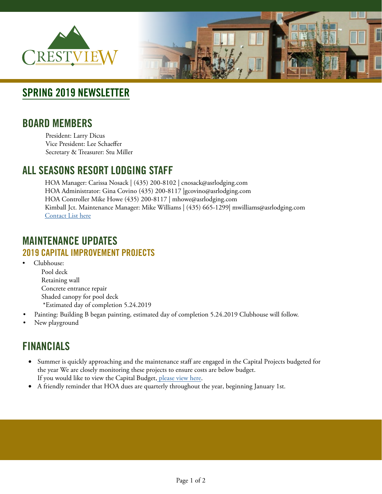



# **SPRING 2019 NEWSLETTER**

## **BOARD MEMBERS**

President: Larry Dicus Vice President: Lee Schaeffer Secretary & Treasurer: Stu Miller

## **ALL SEASONS RESORT LODGING STAFF**

HOA Manager: Carissa Nosack | (435) 200-8102 | cnosack@asrlodging.com HOA Administrator: Gina Covino (435) 200-8117 |gcovino@asrlodging.com HOA Controller Mike Howe (435) 200-8117 | mhowe@asrlodging.com Kimball Jct. Maintenance Manager: Mike Williams | (435) 665-1299| mwilliams@asrlodging.com [Contact List here](https://www.dropbox.com/s/ehncl2x6nidxv8x/Kimball%20Jct%20HOA%20Management%20Contact%20List.docx?dl=0)

## **MAINTENANCE UPDATES 2019 CAPITAL IMPROVEMENT PROJECTS**

- Clubhouse: Pool deck Retaining wall Concrete entrance repair Shaded canopy for pool deck \*Estimated day of completion 5.24.2019
- Painting: Building B began painting, estimated day of completion 5.24.2019 Clubhouse will follow.
- New playground

# **FINANCIALS**

- Summer is quickly approaching and the maintenance staff are engaged in the Capital Projects budgeted for the year We are closely monitoring these projects to ensure costs are below budget. If you would like to view the Capital Budget, [please view here](https://www.allseasonsresortlodging.com/wp-content/uploads/2019/02/2019-HOA-Budget.pdf).
- A friendly reminder that HOA dues are quarterly throughout the year, beginning January 1st.